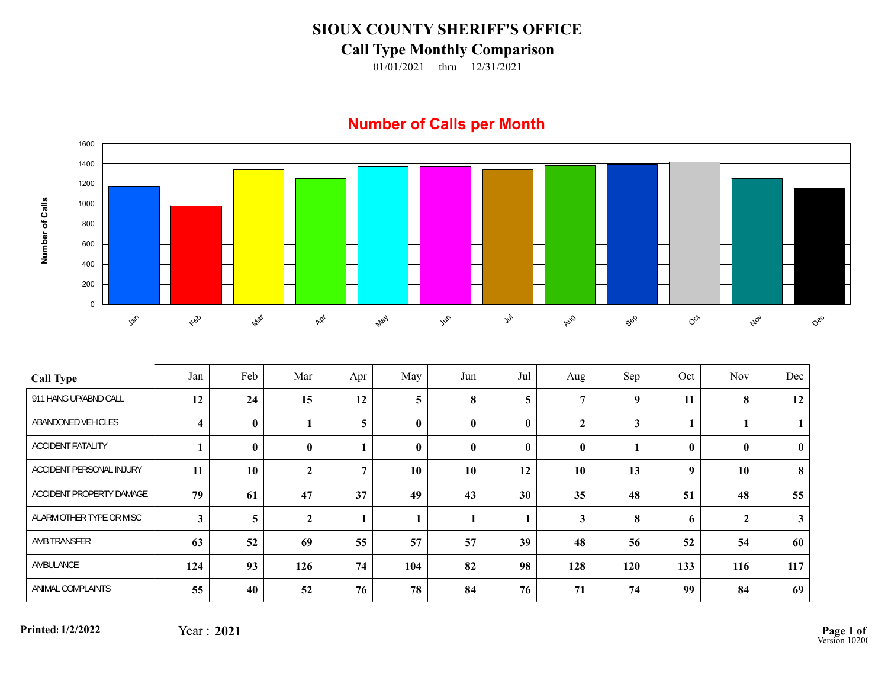## **SIOUX COUNTY SHERIFF'S OFFICE**

## **Call Type Monthly Comparison**

01/01/2021 thru 12/31/2021

## **Number of Calls per Month**



| <b>Call Type</b>         | Jan                     | Feb          | Mar          | Apr | May          | Jun      | Jul          | Aug              | Sep              | Oct          | <b>Nov</b>       | Dec          |
|--------------------------|-------------------------|--------------|--------------|-----|--------------|----------|--------------|------------------|------------------|--------------|------------------|--------------|
| 911 HANG UP/ABND CALL    | 12                      | 24           | 15           | 12  | 5            | $\bf{8}$ | 5            | $\overline{ }$   | $\boldsymbol{9}$ | 11           | 8                | 12           |
| ABANDONED VEHICLES       | $\overline{\mathbf{4}}$ | $\bf{0}$     |              | 5   | $\mathbf{0}$ | $\bf{0}$ | $\mathbf{0}$ | $\boldsymbol{2}$ | $\mathbf{3}$     |              |                  |              |
| <b>ACCIDENT FATALITY</b> |                         | $\mathbf{0}$ | $\mathbf{0}$ |     | $\mathbf{0}$ | $\bf{0}$ | $\mathbf{0}$ | $\mathbf{0}$     |                  | $\mathbf{0}$ | $\mathbf{0}$     | $\mathbf{0}$ |
| ACCIDENT PERSONAL INJURY | 11                      | 10           | $\mathbf{2}$ | 7   | 10           | 10       | 12           | 10               | 13               | 9            | 10               | 8            |
| ACCIDENT PROPERTY DAMAGE | 79                      | 61           | 47           | 37  | 49           | 43       | 30           | 35               | 48               | 51           | 48               | 55           |
| ALARM OTHER TYPE OR MISC | $\mathbf{3}$            | 5            | $\mathbf{2}$ |     |              | 1        |              | 3                | 8                | 6            | $\boldsymbol{2}$ | $\mathbf{3}$ |
| AMB TRANSFER             | 63                      | 52           | 69           | 55  | 57           | 57       | 39           | 48               | 56               | 52           | 54               | 60           |
| AMBULANCE                | 124                     | 93           | 126          | 74  | 104          | 82       | 98           | 128              | 120              | 133          | 116              | 117          |
| ANIMAL COMPLAINTS        | 55                      | 40           | 52           | 76  | 78           | 84       | 76           | 71               | 74               | 99           | 84               | 69           |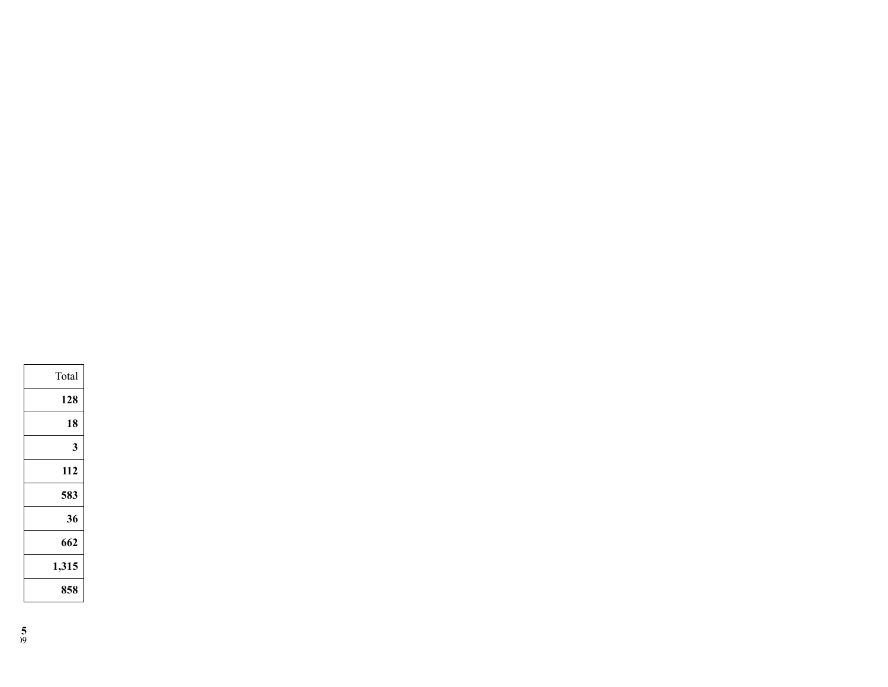| Total |
|-------|
| 128   |
| 18    |
| 3     |
| 112   |
| 583   |
| 36    |
| 662   |
| 1,315 |
| 858   |
|       |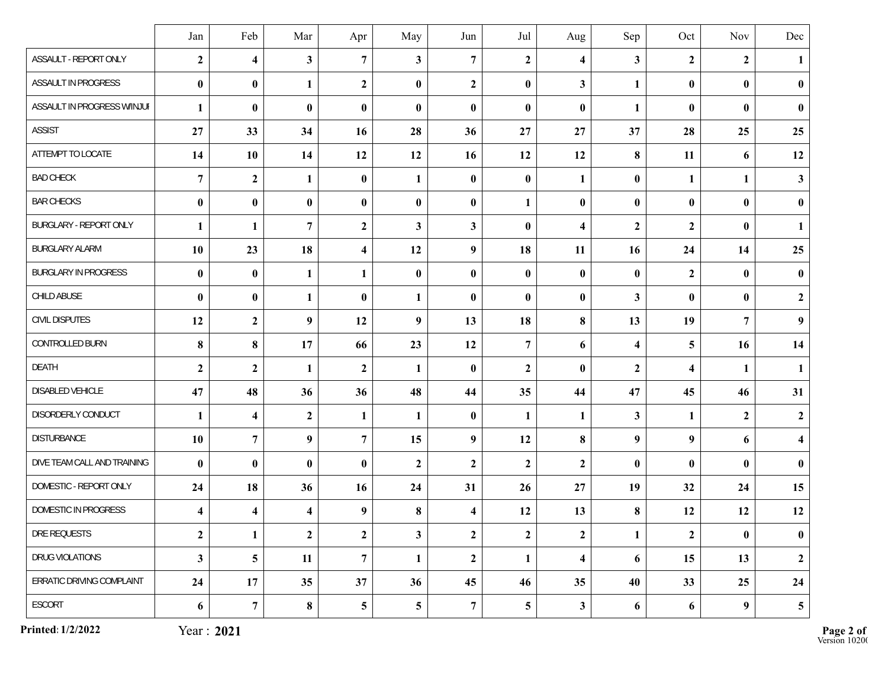|                             | Jan                     | Feb                     | Mar                     | Apr                     | May              | Jun              | Jul              | Aug                     | Sep                     | Oct                     | Nov              | Dec                     |
|-----------------------------|-------------------------|-------------------------|-------------------------|-------------------------|------------------|------------------|------------------|-------------------------|-------------------------|-------------------------|------------------|-------------------------|
| ASSAULT - REPORT ONLY       | $\boldsymbol{2}$        | $\overline{\mathbf{4}}$ | $\mathbf{3}$            | $\overline{7}$          | 3                | $\overline{7}$   | $\overline{2}$   | $\overline{\mathbf{4}}$ | $\mathbf{3}$            | $\overline{2}$          | $\mathbf{2}$     | $\mathbf{1}$            |
| ASSAULT IN PROGRESS         | $\bf{0}$                | $\bf{0}$                | $\mathbf{1}$            | $\overline{2}$          | $\bf{0}$         | $\boldsymbol{2}$ | $\bf{0}$         | $\mathbf{3}$            | 1                       | $\bf{0}$                | $\bf{0}$         | $\bf{0}$                |
| ASSAULT IN PROGRESS W/INJUI | $\mathbf{1}$            | $\bf{0}$                | $\bf{0}$                | $\pmb{0}$               | $\bf{0}$         | $\bf{0}$         | $\bf{0}$         | $\bf{0}$                | $\mathbf{1}$            | $\bf{0}$                | $\bf{0}$         | $\bf{0}$                |
| <b>ASSIST</b>               | 27                      | 33                      | 34                      | 16                      | 28               | 36               | 27               | 27                      | 37                      | 28                      | 25               | 25                      |
| ATTEMPT TO LOCATE           | 14                      | 10                      | 14                      | 12                      | 12               | 16               | 12               | 12                      | 8                       | 11                      | 6                | 12                      |
| <b>BAD CHECK</b>            | $\overline{7}$          | $\mathbf{2}$            | $\mathbf{1}$            | $\bf{0}$                | 1                | $\bf{0}$         | $\bf{0}$         | $\mathbf{1}$            | $\bf{0}$                | $\mathbf{1}$            | $\mathbf{1}$     | $\mathbf{3}$            |
| <b>BAR CHECKS</b>           | $\pmb{0}$               | $\bf{0}$                | $\bf{0}$                | $\bf{0}$                | $\boldsymbol{0}$ | $\bf{0}$         | 1                | $\bf{0}$                | $\bf{0}$                | $\bf{0}$                | $\bf{0}$         | $\pmb{0}$               |
| BURGLARY - REPORT ONLY      | 1                       | 1                       | $\overline{7}$          | $\overline{2}$          | 3                | 3                | $\bf{0}$         | $\overline{\mathbf{4}}$ | $\mathbf{2}$            | $\boldsymbol{2}$        | $\bf{0}$         | $\mathbf{1}$            |
| <b>BURGLARY ALARM</b>       | 10                      | 23                      | 18                      | $\overline{\mathbf{4}}$ | 12               | $\boldsymbol{9}$ | 18               | 11                      | 16                      | 24                      | 14               | 25                      |
| <b>BURGLARY IN PROGRESS</b> | $\pmb{0}$               | $\bf{0}$                | $\mathbf{1}$            | $\mathbf{1}$            | $\bf{0}$         | $\bf{0}$         | $\bf{0}$         | $\bf{0}$                | $\bf{0}$                | $\overline{2}$          | $\bf{0}$         | $\bf{0}$                |
| CHILD ABUSE                 | $\bf{0}$                | $\bf{0}$                | $\mathbf{1}$            | $\bf{0}$                | 1                | $\bf{0}$         | $\bf{0}$         | $\bf{0}$                | $\mathbf{3}$            | $\bf{0}$                | $\bf{0}$         | $\boldsymbol{2}$        |
| CIVIL DISPUTES              | 12                      | $\boldsymbol{2}$        | $\boldsymbol{9}$        | 12                      | $\boldsymbol{9}$ | 13               | 18               | 8                       | 13                      | 19                      | $\overline{7}$   | $\boldsymbol{9}$        |
| CONTROLLED BURN             | 8                       | 8                       | 17                      | 66                      | 23               | 12               | $\overline{7}$   | 6                       | $\overline{\mathbf{4}}$ | 5                       | 16               | 14                      |
| DEATH                       | $\boldsymbol{2}$        | $\boldsymbol{2}$        | $\mathbf{1}$            | $\mathbf{2}$            | $\mathbf{1}$     | $\bf{0}$         | $\overline{2}$   | $\bf{0}$                | $\boldsymbol{2}$        | $\overline{\mathbf{4}}$ | $\mathbf{1}$     | $\mathbf{1}$            |
| DISABLED VEHICLE            | 47                      | 48                      | 36                      | 36                      | 48               | 44               | 35               | 44                      | 47                      | 45                      | 46               | 31                      |
| DISORDERLY CONDUCT          | $\mathbf{1}$            | $\overline{\mathbf{4}}$ | $\boldsymbol{2}$        | $\mathbf{1}$            | $\mathbf{1}$     | $\bf{0}$         | $\mathbf{1}$     | $\mathbf{1}$            | $\mathbf{3}$            | $\mathbf{1}$            | $\boldsymbol{2}$ | $\boldsymbol{2}$        |
| DISTURBANCE                 | 10                      | $\overline{7}$          | $\boldsymbol{9}$        | $\overline{7}$          | 15               | $\boldsymbol{9}$ | 12               | 8                       | $\boldsymbol{9}$        | 9                       | 6                | $\overline{\mathbf{4}}$ |
| DIVE TEAM CALL AND TRAINING | $\bf{0}$                | $\bf{0}$                | $\bf{0}$                | $\pmb{0}$               | $\mathbf{2}$     | $\boldsymbol{2}$ | $\boldsymbol{2}$ | $\mathbf{2}$            | $\bf{0}$                | $\bf{0}$                | $\bf{0}$         | $\pmb{0}$               |
| DOMESTIC - REPORT ONLY      | 24                      | 18                      | 36                      | 16                      | 24               | 31               | 26               | 27                      | 19                      | 32                      | 24               | 15                      |
| DOMESTIC IN PROGRESS        | $\overline{\mathbf{4}}$ | $\overline{\mathbf{4}}$ | $\overline{\mathbf{4}}$ | $\boldsymbol{9}$        | 8                | 4                | 12               | 13                      | 8                       | 12                      | 12               | 12                      |
| DRE REQUESTS                | $\boldsymbol{2}$        | $\mathbf{1}$            | $\mathbf{2}$            | $\boldsymbol{2}$        | $\mathbf{3}$     | $\boldsymbol{2}$ | $\overline{2}$   | $\boldsymbol{2}$        | $\mathbf{1}$            | $\boldsymbol{2}$        | $\bf{0}$         | $\boldsymbol{0}$        |
| DRUG VIOLATIONS             | $\mathbf{3}$            | 5                       | 11                      | $\overline{7}$          | $\mathbf{1}$     | $\boldsymbol{2}$ | 1                | $\overline{\mathbf{4}}$ | 6                       | 15                      | 13               | $\boldsymbol{2}$        |
| ERRATIC DRIVING COMPLAINT   | 24                      | 17                      | 35                      | 37                      | 36               | 45               | 46               | 35                      | 40                      | 33                      | 25               | 24                      |
| ESCORT                      | 6                       | $\overline{7}$          | $\bf{8}$                | $5\overline{)}$         | 5                | $\boldsymbol{7}$ | $5\overline{)}$  | $\mathbf{3}$            | 6                       | 6                       | $\boldsymbol{9}$ | $5\phantom{.0}$         |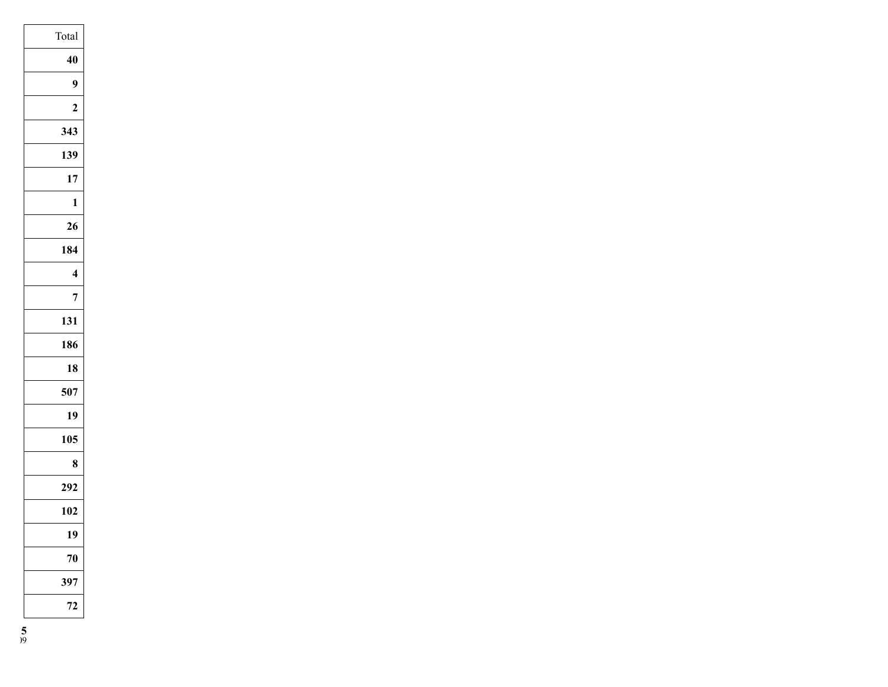| Total                   |
|-------------------------|
| 40                      |
| 9                       |
| $\overline{2}$          |
| 343                     |
| 139                     |
| 17                      |
| $\mathbf{1}$            |
| 26                      |
| 184                     |
| $\overline{\mathbf{4}}$ |
| 7                       |
| 131                     |
| 186                     |
| 18                      |
| 507                     |
| 19                      |
| 105                     |
| 8                       |
| 292                     |
| 102                     |
| 19                      |
| 70                      |
| 397                     |
| 72                      |
|                         |

**5**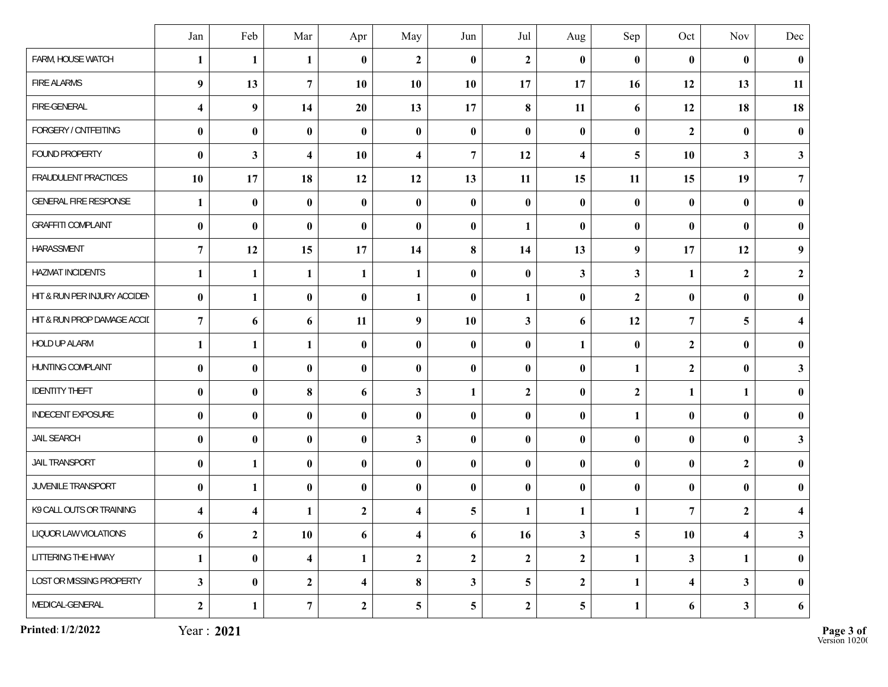|                              | Jan                     | Feb                     | Mar                     | Apr                     | May                     | Jun              | Jul              | Aug                     | Sep              | Oct                     | Nov                     | Dec                     |
|------------------------------|-------------------------|-------------------------|-------------------------|-------------------------|-------------------------|------------------|------------------|-------------------------|------------------|-------------------------|-------------------------|-------------------------|
| FARM, HOUSE WATCH            | $\mathbf{1}$            | 1                       | $\mathbf{1}$            | $\bf{0}$                | $\mathbf{2}$            | $\bf{0}$         | $\overline{2}$   | $\bf{0}$                | $\bf{0}$         | $\bf{0}$                | $\bf{0}$                | $\pmb{0}$               |
| <b>FIRE ALARMS</b>           | 9                       | 13                      | $\overline{7}$          | 10                      | 10                      | 10               | 17               | 17                      | 16               | 12                      | 13                      | 11                      |
| FIRE-GENERAL                 | $\overline{\mathbf{4}}$ | 9                       | 14                      | 20                      | 13                      | 17               | 8                | 11                      | 6                | 12                      | 18                      | 18                      |
| FORGERY / CNTFEITING         | $\bf{0}$                | $\bf{0}$                | $\bf{0}$                | $\bf{0}$                | $\bf{0}$                | $\bf{0}$         | $\bf{0}$         | $\bf{0}$                | $\bf{0}$         | $\overline{2}$          | $\bf{0}$                | $\bf{0}$                |
| FOUND PROPERTY               | $\bf{0}$                | $\overline{\mathbf{3}}$ | $\overline{\mathbf{4}}$ | 10                      | $\overline{\mathbf{4}}$ | $\overline{7}$   | 12               | $\overline{\mathbf{4}}$ | 5                | 10                      | $\mathbf{3}$            | $\mathbf{3}$            |
| FRAUDULENT PRACTICES         | 10                      | 17                      | 18                      | 12                      | 12                      | 13               | 11               | 15                      | 11               | 15                      | 19                      | $\overline{7}$          |
| <b>GENERAL FIRE RESPONSE</b> | $\mathbf{1}$            | $\bf{0}$                | $\bf{0}$                | $\bf{0}$                | $\boldsymbol{0}$        | $\boldsymbol{0}$ | $\bf{0}$         | $\boldsymbol{0}$        | $\bf{0}$         | $\bf{0}$                | $\bf{0}$                | $\bf{0}$                |
| <b>GRAFFITI COMPLAINT</b>    | $\pmb{0}$               | $\bf{0}$                | $\bf{0}$                | $\bf{0}$                | $\boldsymbol{0}$        | $\bf{0}$         | 1                | $\bf{0}$                | $\pmb{0}$        | $\bf{0}$                | $\bf{0}$                | $\pmb{0}$               |
| HARASSMENT                   | $\overline{7}$          | 12                      | 15                      | 17                      | 14                      | 8                | 14               | 13                      | $\boldsymbol{9}$ | 17                      | 12                      | $\boldsymbol{9}$        |
| HAZMAT INCIDENTS             | 1                       | 1                       | $\mathbf{1}$            | 1                       | 1                       | $\bf{0}$         | $\bf{0}$         | $\mathbf{3}$            | $\mathbf{3}$     | $\mathbf{1}$            | $\boldsymbol{2}$        | $\boldsymbol{2}$        |
| HIT & RUN PER INJURY ACCIDEN | $\bf{0}$                | 1                       | $\bf{0}$                | $\bf{0}$                | 1                       | $\bf{0}$         | 1                | $\bf{0}$                | $\boldsymbol{2}$ | $\bf{0}$                | $\bf{0}$                | $\bf{0}$                |
| HIT & RUN PROP DAMAGE ACCIL  | $\overline{7}$          | 6                       | 6                       | 11                      | $\boldsymbol{9}$        | 10               | $\mathbf{3}$     | 6                       | 12               | $\overline{7}$          | 5                       | $\overline{\mathbf{4}}$ |
| HOLD UP ALARM                | $\mathbf{1}$            | $\mathbf{1}$            | $\mathbf{1}$            | $\bf{0}$                | $\bf{0}$                | $\bf{0}$         | $\bf{0}$         | $\mathbf{1}$            | $\bf{0}$         | $\overline{2}$          | $\bf{0}$                | $\bf{0}$                |
| HUNTING COMPLAINT            | $\bf{0}$                | $\bf{0}$                | $\bf{0}$                | $\bf{0}$                | $\boldsymbol{0}$        | $\bf{0}$         | $\bf{0}$         | $\bf{0}$                | $\mathbf{1}$     | $\overline{2}$          | $\bf{0}$                | $\mathbf{3}$            |
| <b>IDENTITY THEFT</b>        | $\bf{0}$                | $\bf{0}$                | $\bf{8}$                | 6                       | 3                       | 1                | $\boldsymbol{2}$ | $\bf{0}$                | $\boldsymbol{2}$ | $\mathbf{1}$            | $\mathbf{1}$            | $\bf{0}$                |
| <b>INDECENT EXPOSURE</b>     | $\boldsymbol{0}$        | $\bf{0}$                | $\bf{0}$                | $\bf{0}$                | $\boldsymbol{0}$        | $\pmb{0}$        | $\bf{0}$         | $\bf{0}$                | 1                | $\bf{0}$                | $\bf{0}$                | $\bf{0}$                |
| JAIL SEARCH                  | $\bf{0}$                | $\bf{0}$                | $\bf{0}$                | $\bf{0}$                | 3                       | $\bf{0}$         | $\bf{0}$         | $\bf{0}$                | $\bf{0}$         | $\bf{0}$                | $\bf{0}$                | $\mathbf{3}$            |
| <b>JAIL TRANSPORT</b>        | $\bf{0}$                | $\mathbf{1}$            | $\bf{0}$                | $\pmb{0}$               | $\boldsymbol{0}$        | $\boldsymbol{0}$ | $\bf{0}$         | $\bf{0}$                | $\bf{0}$         | $\bf{0}$                | $\boldsymbol{2}$        | $\pmb{0}$               |
| JUVENILE TRANSPORT           | $\bf{0}$                | 1                       | $\bf{0}$                | $\bf{0}$                | $\bf{0}$                | $\bf{0}$         | $\bf{0}$         | $\bf{0}$                | $\bf{0}$         | $\bf{0}$                | $\bf{0}$                | $\bf{0}$                |
| K9 CALL OUTS OR TRAINING     | $\overline{\mathbf{4}}$ | $\overline{\mathbf{4}}$ | 1                       | $\overline{2}$          | $\overline{\mathbf{4}}$ | 5                | 1                | 1                       | 1                | $\overline{7}$          | $\boldsymbol{2}$        | $\overline{\mathbf{4}}$ |
| LIQUOR LAW VIOLATIONS        | 6                       | $\mathbf{2}$            | 10                      | 6                       | $\overline{\mathbf{4}}$ | 6                | 16               | $\mathbf{3}$            | 5                | 10                      | $\overline{\mathbf{4}}$ | $\mathbf{3}$            |
| LITTERING THE HIWAY          | $\mathbf{1}$            | $\bf{0}$                | $\overline{\mathbf{4}}$ | $\mathbf{1}$            | $\boldsymbol{2}$        | $\boldsymbol{2}$ | $\mathbf{2}$     | $\mathbf{2}$            | $\mathbf{1}$     | $\mathbf{3}$            | $\mathbf{1}$            | $\bf{0}$                |
| LOST OR MISSING PROPERTY     | $\mathbf{3}$            | $\bf{0}$                | $\boldsymbol{2}$        | $\overline{\mathbf{4}}$ | 8                       | $\mathbf{3}$     | $\overline{5}$   | $\overline{2}$          | $\mathbf{1}$     | $\overline{\mathbf{4}}$ | $\mathbf{3}$            | $\bf{0}$                |
| MEDICAL-GENERAL              | $\boldsymbol{2}$        | $\mathbf{1}$            | $\overline{7}$          | $\mathbf{2}$            | 5                       | 5                | $\mathbf{2}$     | $\overline{\mathbf{5}}$ | $\mathbf{1}$     | 6                       | $\mathbf{3}$            | 6                       |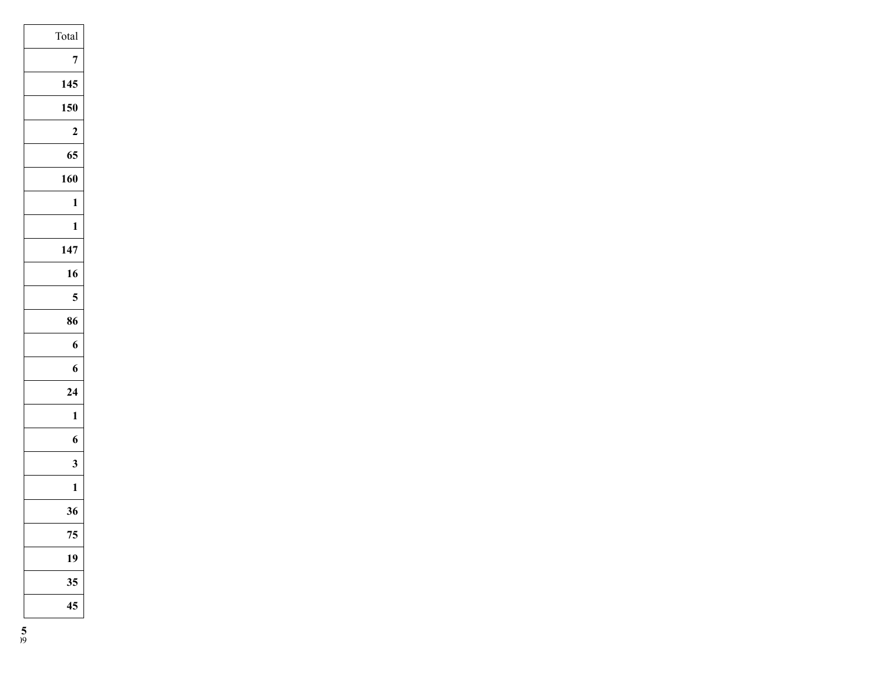| Total          |  |
|----------------|--|
| 7              |  |
| 145            |  |
| 150            |  |
| $\overline{2}$ |  |
| 65             |  |
| 160            |  |
| 1              |  |
| $\mathbf{1}$   |  |
| 147            |  |
| 16             |  |
| 5              |  |
| 86             |  |
| 6              |  |
| 6              |  |
| 24             |  |
| 1              |  |
| 6              |  |
| 3              |  |
| $\mathbf{1}$   |  |
| 36             |  |
| 75             |  |
| 19             |  |
| 35             |  |
| 45             |  |
|                |  |

**5**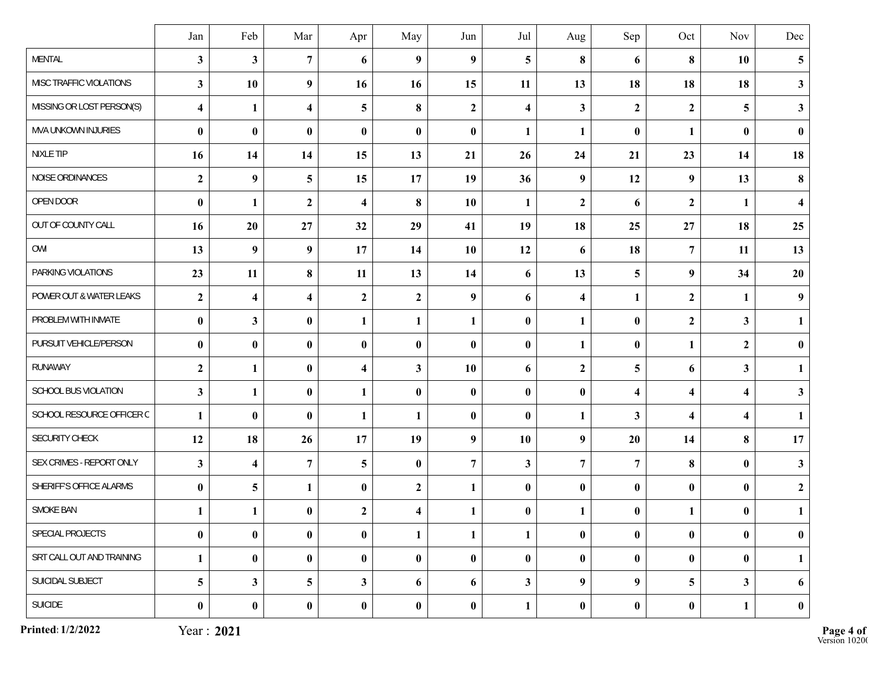|                           | Jan                     | Feb                     | Mar                     | Apr                     | May                     | Jun              | Jul                     | Aug                     | Sep                     | Oct              | Nov                     | Dec                     |
|---------------------------|-------------------------|-------------------------|-------------------------|-------------------------|-------------------------|------------------|-------------------------|-------------------------|-------------------------|------------------|-------------------------|-------------------------|
| <b>MENTAL</b>             | $\mathbf{3}$            | $\overline{\mathbf{3}}$ | $\overline{7}$          | 6                       | 9                       | $\boldsymbol{9}$ | 5                       | 8                       | 6                       | 8                | 10                      | $\overline{\mathbf{5}}$ |
| MISC TRAFFIC VIOLATIONS   | $\mathbf{3}$            | 10                      | 9                       | 16                      | 16                      | 15               | 11                      | 13                      | 18                      | 18               | 18                      | $\mathbf{3}$            |
| MISSING OR LOST PERSON(S) | $\overline{\mathbf{4}}$ | $\mathbf{1}$            | $\overline{\mathbf{4}}$ | 5                       | 8                       | $\boldsymbol{2}$ | $\overline{\mathbf{4}}$ | $\mathbf{3}$            | $\boldsymbol{2}$        | $\overline{2}$   | 5                       | $\mathbf{3}$            |
| MVA UNKOWN INJURIES       | $\bf{0}$                | $\bf{0}$                | $\bf{0}$                | $\bf{0}$                | $\bf{0}$                | $\bf{0}$         | 1                       | $\mathbf{1}$            | $\bf{0}$                | $\mathbf{1}$     | $\bf{0}$                | $\bf{0}$                |
| NIXLE TIP                 | 16                      | 14                      | 14                      | 15                      | 13                      | 21               | 26                      | 24                      | 21                      | 23               | 14                      | 18                      |
| NOISE ORDINANCES          | $\boldsymbol{2}$        | 9                       | $\overline{\mathbf{5}}$ | 15                      | 17                      | 19               | 36                      | 9                       | 12                      | 9                | 13                      | 8                       |
| OPEN DOOR                 | $\bf{0}$                | 1                       | $\mathbf{2}$            | $\overline{\mathbf{4}}$ | 8                       | 10               | 1                       | $\boldsymbol{2}$        | 6                       | $\mathbf{2}$     | $\mathbf{1}$            | $\overline{\mathbf{4}}$ |
| OUT OF COUNTY CALL        | 16                      | 20                      | 27                      | 32                      | 29                      | 41               | 19                      | 18                      | 25                      | 27               | 18                      | 25                      |
| OWI                       | 13                      | 9                       | $\boldsymbol{9}$        | 17                      | 14                      | 10               | 12                      | 6                       | 18                      | $\overline{7}$   | 11                      | 13                      |
| PARKING VIOLATIONS        | 23                      | 11                      | $\bf{8}$                | 11                      | 13                      | 14               | 6                       | 13                      | 5                       | 9                | 34                      | 20                      |
| POWER OUT & WATER LEAKS   | $\boldsymbol{2}$        | $\overline{\mathbf{4}}$ | $\overline{\mathbf{4}}$ | $\overline{2}$          | $\mathbf{2}$            | $\boldsymbol{9}$ | 6                       | $\overline{\mathbf{4}}$ | 1                       | $\overline{2}$   | $\mathbf{1}$            | $\boldsymbol{9}$        |
| PROBLEM WITH INMATE       | $\pmb{0}$               | 3                       | $\bf{0}$                | $\mathbf{1}$            | 1                       | 1                | $\bf{0}$                | $\mathbf{1}$            | $\bf{0}$                | $\boldsymbol{2}$ | $\mathbf{3}$            | $\mathbf{1}$            |
| PURSUIT VEHICLE/PERSON    | $\bf{0}$                | $\bf{0}$                | $\bf{0}$                | $\bf{0}$                | $\bf{0}$                | $\bf{0}$         | $\bf{0}$                | $\mathbf{1}$            | $\bf{0}$                | $\mathbf{1}$     | $\boldsymbol{2}$        | $\bf{0}$                |
| RUNAWAY                   | $\boldsymbol{2}$        | $\mathbf{1}$            | $\bf{0}$                | $\overline{\mathbf{4}}$ | $\mathbf{3}$            | 10               | 6                       | $\boldsymbol{2}$        | 5                       | 6                | $\mathbf{3}$            | $\mathbf{1}$            |
| SCHOOL BUS VIOLATION      | $\mathbf{3}$            | $\mathbf{1}$            | $\bf{0}$                | $\mathbf{1}$            | $\bf{0}$                | $\bf{0}$         | $\bf{0}$                | $\bf{0}$                | $\overline{\mathbf{4}}$ | 4                | $\boldsymbol{4}$        | $\mathbf{3}$            |
| SCHOOL RESOURCE OFFICER C | $\mathbf{1}$            | $\bf{0}$                | $\bf{0}$                | $\mathbf{1}$            | $\mathbf{1}$            | $\bf{0}$         | $\bf{0}$                | $\mathbf{1}$            | 3                       | 4                | $\overline{\mathbf{4}}$ | $\mathbf{1}$            |
| SECURITY CHECK            | 12                      | 18                      | 26                      | 17                      | 19                      | $\boldsymbol{9}$ | 10                      | $\boldsymbol{9}$        | 20                      | 14               | 8                       | 17                      |
| SEX CRIMES - REPORT ONLY  | $\mathbf{3}$            | $\overline{\mathbf{4}}$ | $\overline{7}$          | 5                       | $\boldsymbol{0}$        | $\overline{7}$   | $\mathbf{3}$            | $\overline{7}$          | $\overline{7}$          | $\bf{8}$         | $\bf{0}$                | $\mathbf{3}$            |
| SHERIFF'S OFFICE ALARMS   | $\bf{0}$                | 5                       | $\mathbf{1}$            | $\bf{0}$                | $\mathbf{2}$            | 1                | $\bf{0}$                | $\bf{0}$                | $\bf{0}$                | $\bf{0}$         | $\bf{0}$                | $\mathbf{2}$            |
| <b>SMOKE BAN</b>          | $\mathbf{1}$            | $\mathbf{1}$            | $\bf{0}$                | $\overline{2}$          | $\overline{\mathbf{4}}$ | 1                | $\bf{0}$                | $\mathbf{1}$            | $\bf{0}$                | 1                | $\bf{0}$                | $\mathbf{1}$            |
| SPECIAL PROJECTS          | $\boldsymbol{0}$        | $\pmb{0}$               | $\bf{0}$                | $\pmb{0}$               | $\mathbf{1}$            | $\mathbf{1}$     | $\mathbf{1}$            | $\bf{0}$                | $\pmb{0}$               | $\bf{0}$         | $\boldsymbol{0}$        | $\boldsymbol{0}$        |
| SRT CALL OUT AND TRAINING | $\mathbf{1}$            | $\bf{0}$                | $\bf{0}$                | $\bf{0}$                | $\bf{0}$                | $\pmb{0}$        | $\bf{0}$                | $\bf{0}$                | $\boldsymbol{0}$        | $\bf{0}$         | $\bf{0}$                | $\mathbf{1}$            |
| SUICIDAL SUBJECT          | 5                       | $\mathbf{3}$            | 5                       | $\mathbf{3}$            | 6                       | 6                | $\mathbf{3}$            | $\boldsymbol{9}$        | $\boldsymbol{9}$        | 5 <sup>5</sup>   | $\mathbf{3}$            | 6                       |
| SUICIDE                   | $\bf{0}$                | $\mathbf{0}$            | $\bf{0}$                | $\pmb{0}$               | $\bf{0}$                | $\pmb{0}$        | $\mathbf{1}$            | $\pmb{0}$               | $\bf{0}$                | $\bf{0}$         | $\mathbf{1}$            | $\boldsymbol{0}$        |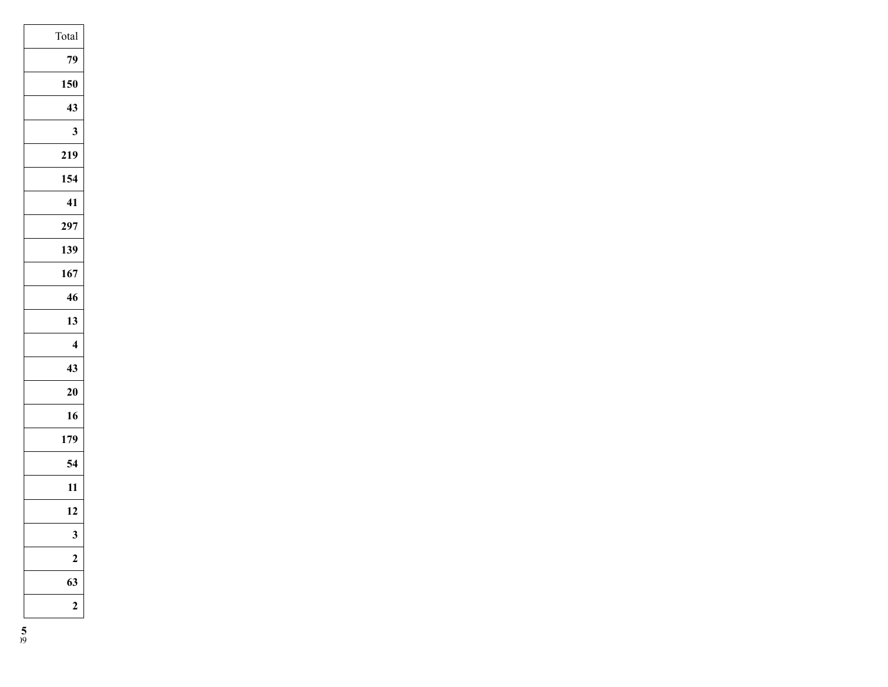| Total                   |
|-------------------------|
| 79                      |
| 150                     |
| 43                      |
| $\overline{\mathbf{3}}$ |
| 219                     |
| 154                     |
| 41                      |
| 297                     |
| 139                     |
| 167                     |
| 46                      |
| 13                      |
| 4                       |
| 43                      |
| $\overline{20}$         |
| 16                      |
| 179                     |
| 54                      |
| 11                      |
| 12                      |
|                         |
| 2                       |
| 63                      |
| 2                       |
|                         |

**5**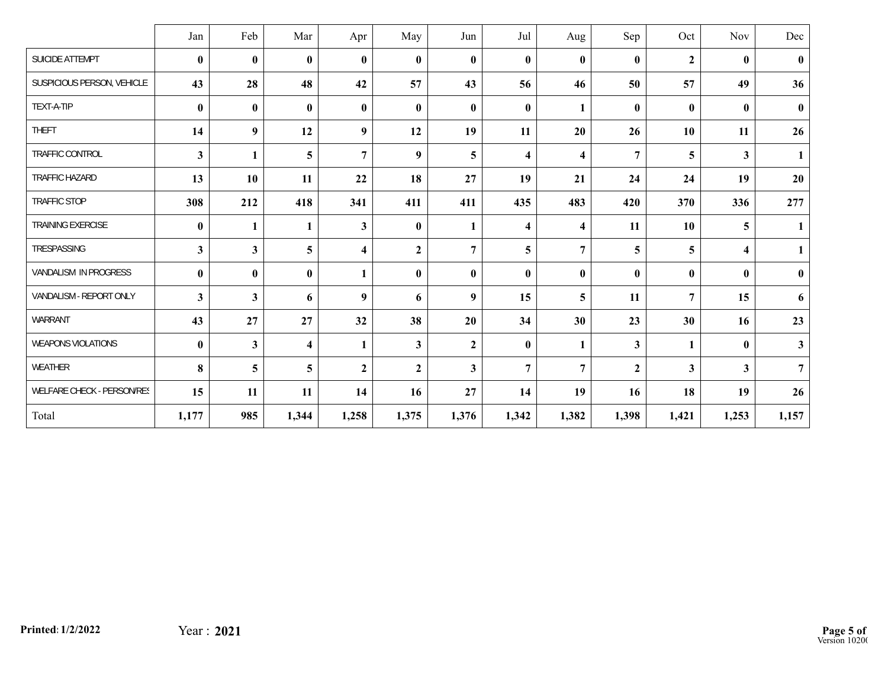|                            | Jan              | Feb                     | Mar                     | Apr                     | May              | Jun            | Jul                     | Aug                     | Sep              | Oct              | Nov          | Dec            |
|----------------------------|------------------|-------------------------|-------------------------|-------------------------|------------------|----------------|-------------------------|-------------------------|------------------|------------------|--------------|----------------|
| SUICIDE ATTEMPT            | $\bf{0}$         | $\bf{0}$                | $\mathbf{0}$            | $\bf{0}$                | $\bf{0}$         | $\bf{0}$       | $\mathbf{0}$            | $\mathbf{0}$            | $\bf{0}$         | $\boldsymbol{2}$ | $\bf{0}$     | $\bf{0}$       |
| SUSPICIOUS PERSON, VEHICLE | 43               | 28                      | 48                      | 42                      | 57               | 43             | 56                      | 46                      | 50               | 57               | 49           | 36             |
| TEXT-A-TIP                 | $\bf{0}$         | $\bf{0}$                | $\bf{0}$                | $\bf{0}$                | $\bf{0}$         | $\bf{0}$       | $\bf{0}$                | 1                       | $\bf{0}$         | $\bf{0}$         | $\bf{0}$     | $\bf{0}$       |
| <b>THEFT</b>               | 14               | $\boldsymbol{9}$        | 12                      | 9                       | 12               | 19             | 11                      | 20                      | 26               | 10               | 11           | 26             |
| TRAFFIC CONTROL            | $\mathbf{3}$     | $\mathbf{1}$            | 5                       | $\overline{7}$          | 9                | 5              | $\overline{\mathbf{4}}$ | $\overline{\mathbf{4}}$ | $\overline{7}$   | 5                | $\mathbf{3}$ | 1              |
| TRAFFIC HAZARD             | 13               | 10                      | 11                      | 22                      | 18               | 27             | 19                      | 21                      | 24               | 24               | 19           | 20             |
| <b>TRAFFIC STOP</b>        | 308              | 212                     | 418                     | 341                     | 411              | 411            | 435                     | 483                     | 420              | 370              | 336          | 277            |
| <b>TRAINING EXERCISE</b>   | $\boldsymbol{0}$ | 1                       | $\mathbf{1}$            | $\mathbf{3}$            | $\bf{0}$         | $\mathbf{1}$   | $\overline{\mathbf{4}}$ | $\overline{\mathbf{4}}$ | 11               | 10               | 5            | 1              |
| TRESPASSING                | $\mathbf{3}$     | $\overline{\mathbf{3}}$ | 5                       | $\overline{\mathbf{4}}$ | $\mathbf{2}$     | $\overline{7}$ | 5                       | $\overline{7}$          | 5                | 5                | 4            | $\mathbf{1}$   |
| VANDALISM IN PROGRESS      | $\bf{0}$         | $\bf{0}$                | $\bf{0}$                | $\mathbf{1}$            | $\bf{0}$         | $\bf{0}$       | $\mathbf{0}$            | $\bf{0}$                | $\bf{0}$         | $\bf{0}$         | $\mathbf{0}$ | $\bf{0}$       |
| VANDALISM - REPORT ONLY    | $\mathbf{3}$     | $\overline{\mathbf{3}}$ | 6                       | 9                       | 6                | 9              | 15                      | 5                       | 11               | $\overline{7}$   | 15           | 6              |
| WARRANT                    | 43               | 27                      | 27                      | 32                      | 38               | 20             | 34                      | 30                      | 23               | 30               | 16           | 23             |
| WEAPONS VIOLATIONS         | $\pmb{0}$        | $\overline{\mathbf{3}}$ | $\overline{\mathbf{4}}$ | $\mathbf{1}$            | $\mathbf{3}$     | $\mathbf{2}$   | $\boldsymbol{0}$        | $\mathbf{1}$            | $\mathbf{3}$     | $\mathbf{1}$     | $\bf{0}$     | $\mathbf{3}$   |
| WEATHER                    | 8                | 5                       | 5                       | $\boldsymbol{2}$        | $\boldsymbol{2}$ | $\mathbf{3}$   | $\overline{7}$          | $\overline{7}$          | $\boldsymbol{2}$ | 3                | 3            | $\overline{7}$ |
| WELFARE CHECK - PERSON/RES | 15               | 11                      | 11                      | 14                      | 16               | 27             | 14                      | 19                      | 16               | 18               | 19           | 26             |
| Total                      | 1,177            | 985                     | 1,344                   | 1,258                   | 1,375            | 1,376          | 1,342                   | 1,382                   | 1,398            | 1,421            | 1,253        | 1,157          |